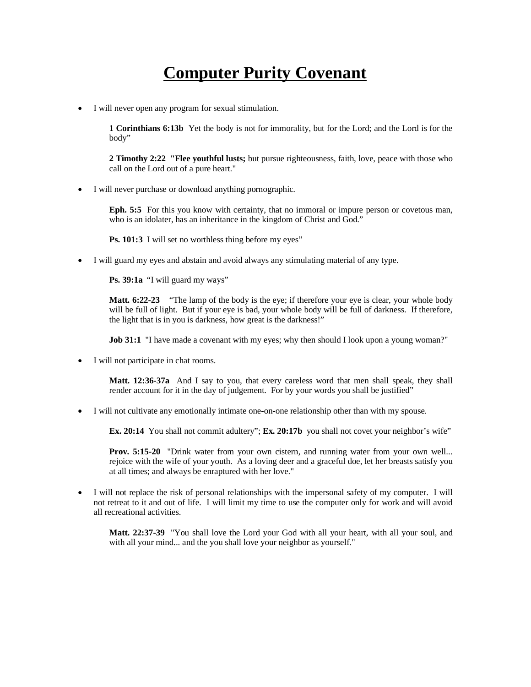## **Computer Purity Covenant**

· I will never open any program for sexual stimulation.

**1 Corinthians 6:13b** Yet the body is not for immorality, but for the Lord; and the Lord is for the body"

**2 Timothy 2:22 "Flee youthful lusts;** but pursue righteousness, faith, love, peace with those who call on the Lord out of a pure heart."

· I will never purchase or download anything pornographic.

**Eph. 5:5** For this you know with certainty, that no immoral or impure person or covetous man, who is an idolater, has an inheritance in the kingdom of Christ and God."

**Ps. 101:3** I will set no worthless thing before my eyes"

· I will guard my eyes and abstain and avoid always any stimulating material of any type.

**Ps. 39:1a** "I will guard my ways"

**Matt. 6:22-23** "The lamp of the body is the eye; if therefore your eye is clear, your whole body will be full of light. But if your eye is bad, your whole body will be full of darkness. If therefore, the light that is in you is darkness, how great is the darkness!"

**Job 31:1** "I have made a covenant with my eyes; why then should I look upon a young woman?"

I will not participate in chat rooms.

**Matt. 12:36-37a** And I say to you, that every careless word that men shall speak, they shall render account for it in the day of judgement. For by your words you shall be justified"

· I will not cultivate any emotionally intimate one-on-one relationship other than with my spouse.

**Ex. 20:14** You shall not commit adultery"; **Ex. 20:17b** you shall not covet your neighbor's wife"

**Prov. 5:15-20** "Drink water from your own cistern, and running water from your own well... rejoice with the wife of your youth. As a loving deer and a graceful doe, let her breasts satisfy you at all times; and always be enraptured with her love."

· I will not replace the risk of personal relationships with the impersonal safety of my computer. I will not retreat to it and out of life. I will limit my time to use the computer only for work and will avoid all recreational activities.

**Matt. 22:37-39** "You shall love the Lord your God with all your heart, with all your soul, and with all your mind... and the you shall love your neighbor as yourself."